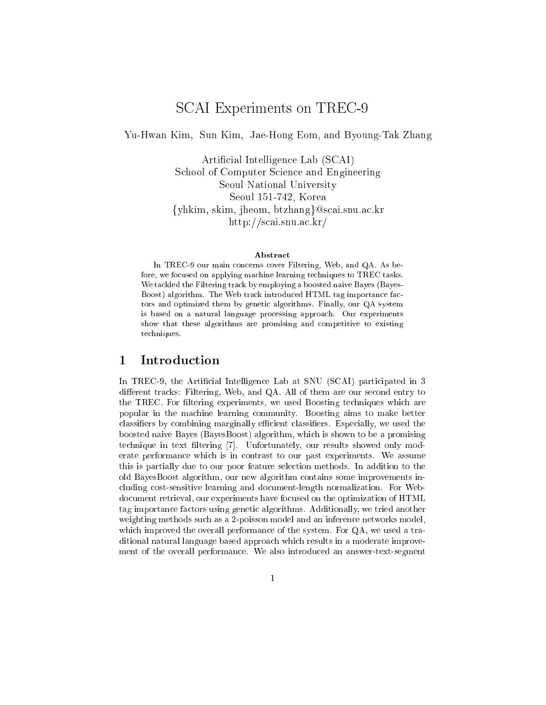# SCAI Experiments on TREC-9

Yu-Hwan Kim, Sun Kim, Jae-Hong Eom, and Byoung-Tak Zhang

Artificial Intelligence Lab (SCAI) S
hool of Computer S
ien
e and Engineering Seoul National University Seoul 151-742, Korea {yhkim, skim, jheom, btzhang}@scai.snu.ac.kr http://s
ai.snu.a
.kr/

#### Abstra
t

In TREC-9 our main concerns cover Filtering, Web, and QA. As before, we focused on applying machine learning techniques to TREC tasks. We tackled the Filtering track by employing a boosted naive Bayes (Bayes-Boost) algorithm. The Web track introduced HTML tag importance factors and optimized them by genetic algorithms. Finally, our QA system is based on a natural language pro
essing approa
h. Our experiments show that these algorithms are promising and ompetitive to existing te
hniques.

#### 1 Introdu
tion 1

In TREC-9, the Artificial Intelligence Lab at SNU (SCAI) participated in 3 different tracks: Filtering, Web, and QA. All of them are our second entry to the TREC. For filtering experiments, we used Boosting techniques which are popular in the ma
hine learning ommunity. Boosting aims to make better classifiers by combining marginally efficient classifiers. Especially, we used the boosted naive Bayes (BayesBoost) algorithm, whi
h is shown to be a promising technique in text filtering [7]. Unfortunately, our results showed only moderate performan
e whi
h is in ontrast to our past experiments. We assume this is partially due to our poor feature sele
tion methods. In addition to the old BayesBoost algorithm, our new algorithm ontains some improvements in luding ost-sensitive learning and do
ument-length normalization. For Webdo
ument retrieval, our experiments have fo
used on the optimization of HTML tag importan
e fa
tors using geneti algorithms. Additionally, we tried another weighting methods su
h as a 2-poisson model and an inferen
e networks model, which improved the overall performance of the system. For QA, we used a traditional natural language based approa
h whi
h results in a moderate improvement of the overall performan
e. We also introdu
ed an answer-text-segment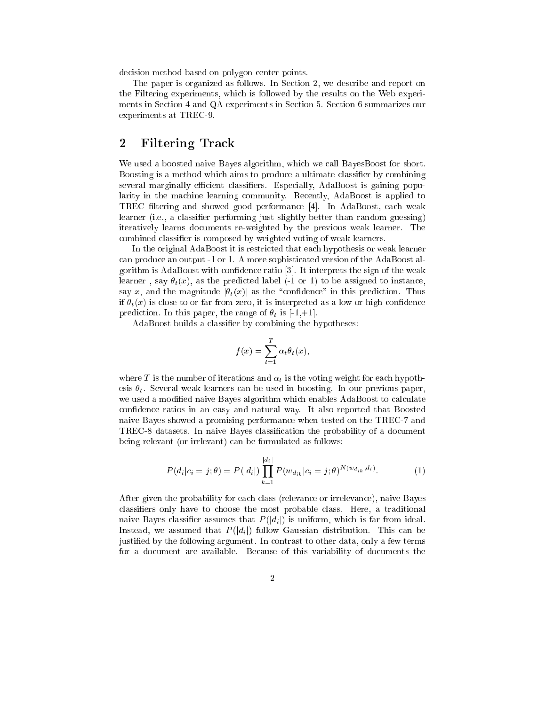decision method based on polygon center points.

The paper is organized as follows. In Section 2, we describe and report on the Filtering experiments, whi
h is followed by the results on the Web experiments in Se
tion 4 and QA experiments in Se
tion 5. Se
tion 6 summarizes our experiments at TREC-9.

## 2 Filtering Tra
k

We used a boosted naive Bayes algorithm, which we call BayesBoost for short. Boosting is a method which aims to produce a ultimate classifier by combining several marginally efficient classifiers. Especially, AdaBoost is gaining popularity in the machine learning community. Recently, AdaBoost is applied to TREC filtering and showed good performance [4]. In AdaBoost, each weak learner (i.e., a classifier performing just slightly better than random guessing) iteratively learns do
uments re-weighted by the previous weak learner. The ombined lassier is omposed by weighted voting of weak learners.

In the original AdaBoost it is restri
ted that ea
h hypothesis or weak learner an produ
e an output -1 or 1. A more sophisti
ated version of the AdaBoost algorithm is AdaBoost with confidence ratio [3]. It interprets the sign of the weak learner, say  $\theta_t(x)$ , as the predicted label (-1 or 1) to be assigned to instance, say x, and the magnitude  $|\theta_t(x)|$  as the "confidence" in this prediction. Thus if  $\theta_t(x)$  is close to or far from zero, it is interpreted as a low or high confidence prediction. In this paper, the range of  $\theta_t$  is [-1,+1].

AdaBoost builds a classifier by combining the hypotheses:

$$
f(x) = \sum_{t=1}^{T} \alpha_t \theta_t(x),
$$

where T is the number of iterations and  $\alpha_t$  is the voting weight for each hypothesis  $\theta_t$ . Several weak learners can be used in boosting. In our previous paper, we used a modified naive Bayes algorithm which enables AdaBoost to calculate confidence ratios in an easy and natural way. It also reported that Boosted naive Bayes showed a promising performan
e when tested on the TREC-7 and TREC-8 datasets. In naive Bayes classification the probability of a document being relevant (or irrlevant) an be formulated as follows:

$$
P(d_i|c_i = j; \theta) = P(|d_i|) \prod_{k=1}^{|d_i|} P(w_{d_{ik}}|c_i = j; \theta)^{N(w_{d_{ik}}, d_i)}.
$$
 (1)

After given the probability for each class (relevance or irrelevance), naive Bayes classifiers only have to choose the most probable class. Here, a traditional naive Bayes classifier assumes that  $P(|d_i|)$  is uniform, which is far from ideal. Instead, we assumed that  $P(|d_i|)$  follow Gaussian distribution. This can be justied by the following argument. In ontrast to other data, only a few terms for a do
ument are available. Be
ause of this variability of do
uments the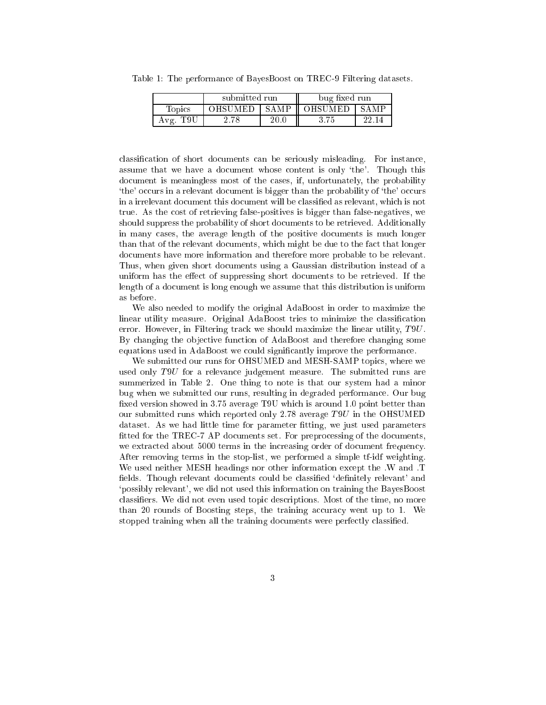|                         | submitted run  |             | bug fixed run  |             |
|-------------------------|----------------|-------------|----------------|-------------|
| $\operatorname{Topics}$ | <b>OHSUMED</b> | <b>SAMP</b> | <b>OHSUMED</b> | <b>SAMP</b> |
| Avg. T9U                | 2.78           |             |                |             |

Table 1: The performan
e of BayesBoost on TREC-9 Filtering datasets.

classification of short documents can be seriously misleading. For instance, assume that we have a document whose content is only 'the'. Though this do
ument is meaningless most of the ases, if, unfortunately, the probability 'the' occurs in a relevant document is bigger than the probability of 'the' occurs in a irrelevant do
ument this do
ument will be lassied as relevant, whi
h is not true. As the ost of retrieving false-positives is bigger than false-negatives, we should suppress the probability of short documents to be retrieved. Additionally in many ases, the average length of the positive do
uments is mu
h longer than that of the relevant do
uments, whi
h might be due to the fa
t that longer do
uments have more information and therefore more probable to be relevant. Thus, when given short do
uments using a Gaussian distribution instead of a uniform has the effect of suppressing short documents to be retrieved. If the length of a do
ument is long enough we assume that this distribution is uniform as before.

We also needed to modify the original AdaBoost in order to maximize the linear utility measure. Original AdaBoost tries to minimize the classification error. However, in Filtering track we should maximize the linear utility,  $T9U$ . By changing the objective function of AdaBoost and therefore changing some equations used in AdaBoost we could significantly improve the performance.

We submitted our runs for OHSUMED and MESH-SAMP topics, where we used only T9U for a relevance judgement measure. The submitted runs are summerized in Table 2. One thing to note is that our system had a minor bug when we submitted our runs, resulting in degraded performan
e. Our bug fixed version showed in 3.75 average T9U which is around 1.0 point better than our submitted runs which reported only 2.78 average  $T9U$  in the OHSUMED dataset. As we had little time for parameter fitting, we just used parameters fitted for the TREC-7 AP documents set. For preprocessing of the documents, we extracted about 5000 terms in the increasing order of document frequency. After removing terms in the stop-list, we performed a simple tf-idf weighting. We used neither MESH headings nor other information ex
ept the .W and .T fields. Though relevant documents could be classified 'definitely relevant' and `possibly relevant', we did not used this information on training the BayesBoost classifiers. We did not even used topic descriptions. Most of the time, no more than 20 rounds of Boosting steps, the training accuracy went up to 1. We stopped training when all the training documents were perfectly classified.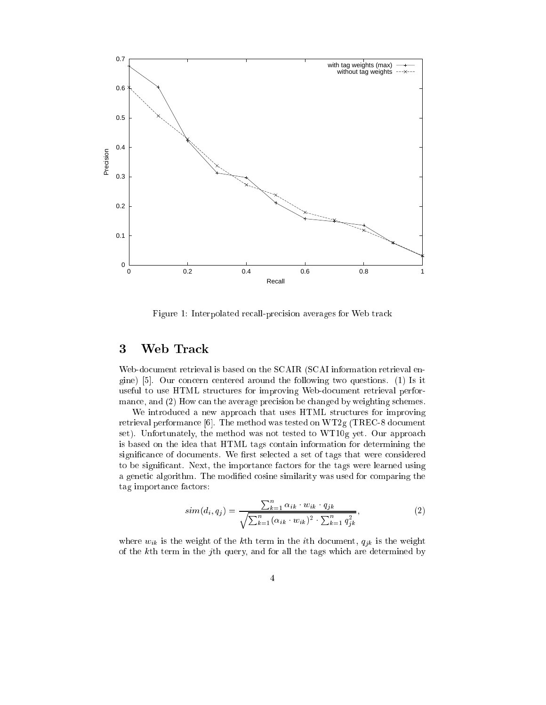

Figure 1: Interpolated recall-precision averages for Web track

### 3 Web Tra
k

Web-document retrieval is based on the SCAIR (SCAI information retrieval engine)  $[5]$ . Our concern centered around the following two questions. (1) Is it useful to use HTML stru
tures for improving Web-do
ument retrieval performance, and (2) How can the average precision be changed by weighting schemes.

We introduced a new approach that uses HTML structures for improving retrieval performance [6]. The method was tested on  $WT2g$  (TREC-8 document set). Unfortunately, the method was not tested to WT10g yet. Our approa
h is based on the idea that HTML tags ontain information for determining the significance of documents. We first selected a set of tags that were considered to be significant. Next, the importance factors for the tags were learned using a genetic algorithm. The modified cosine similarity was used for comparing the tag importance factors:

$$
sim(d_i, q_j) = \frac{\sum_{k=1}^{n} \alpha_{ik} \cdot w_{ik} \cdot q_{jk}}{\sqrt{\sum_{k=1}^{n} (\alpha_{ik} \cdot w_{ik})^2 \cdot \sum_{k=1}^{n} q_{jk}^2}},
$$
\n(2)

where  $w_{ik}$  is the weight of the k<sup>th</sup> term in the *i*<sup>th</sup> document,  $q_{jk}$  is the weight of the kth term in the jth query, and for all the tags whi
h are determined by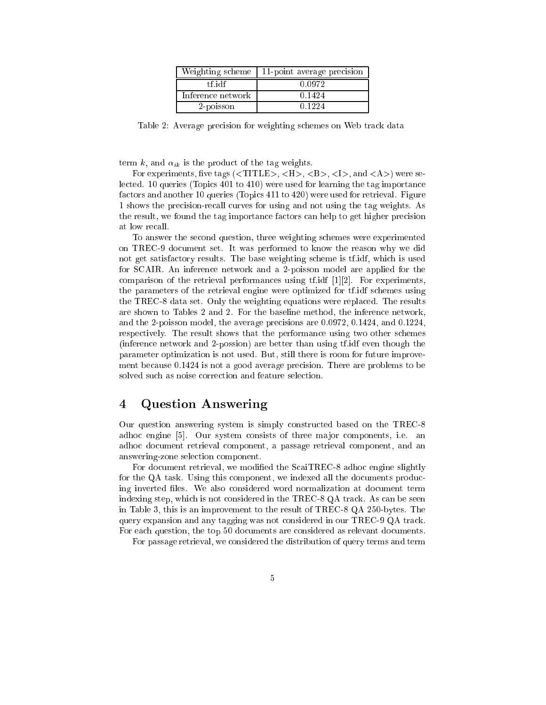| Weighting scheme  | 11-point average precision |
|-------------------|----------------------------|
| tf idf            | 0.0972                     |
| Inference network | 0.1424                     |
| 2-poisson         | በ 1224                     |

Table 2: Average precision for weighting schemes on Web track data

term k, and  $\alpha_{ik}$  is the product of the tag weights.

For experiments, five tags  $(<\{TITLE\}$ ,  $<\{H\}$ ,  $<\{B\}$ ,  $<\{I\}$ , and  $<\{A\}$ ) were selected. 10 queries (Topics 401 to 410) were used for learning the tag importance factors and another 10 queries (Topics 411 to 420) were used for retrieval. Figure 1 shows the pre
ision-re
all urves for using and not using the tag weights. As the result, we found the tag importance factors can help to get higher precision at low re
all.

To answer the se
ond question, three weighting s
hemes were experimented on TREC-9 document set. It was performed to know the reason why we did not get satisfa
tory results. The base weighting s
heme is tf.idf, whi
h is used for SCAIR. An inferen
e network and a 2-poisson model are applied for the comparison of the retrieval performances using  $tf.idf [1][2]$ . For experiments, the parameters of the retrieval engine were optimized for tf.idf s
hemes using the TREC-8 data set. Only the weighting equations were repla
ed. The results are shown to Tables 2 and 2. For the baseline method, the inferen
e network, and the 2-poisson model, the average pre
isions are 0.0972, 0.1424, and 0.1224, respe
tively. The result shows that the performan
e using two other s
hemes (inferen
e network and 2-possion) are better than using tf.idf even though the parameter optimization is not used. But, still there is room for future improvement because 0.1424 is not a good average precision. There are problems to be solved such as noise correction and feature selection.

#### $\overline{4}$ Question Answering

Our question answering system is simply onstru
ted based on the TREC-8 adhoc engine [5]. Our system consists of three major components, i.e. an adho do
ument retrieval omponent, a passage retrieval omponent, and an answering-zone sele
tion omponent.

For document retrieval, we modified the ScaiTREC-8 adhoc engine slightly for the QA task. Using this component, we indexed all the documents producing inverted files. We also considered word normalization at document term indexing step, which is not considered in the TREC-8 QA track. As can be seen in Table 3, this is an improvement to the result of TREC-8 QA 250-bytes. The query expansion and any tagging was not onsidered in our TREC-9 QA tra
k. For each question, the top 50 documents are considered as relevant documents.

For passage retrieval, we onsidered the distribution of query terms and term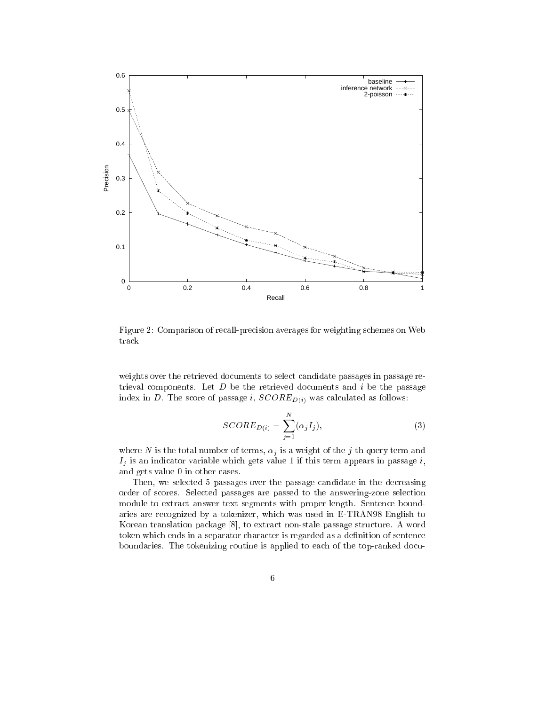

Figure 2: Comparison of recall-precision averages for weighting schemes on Web tra
k

weights over the retrieved documents to select candidate passages in passage retrieval components. Let  $D$  be the retrieved documents and  $i$  be the passage index in D. The score of passage i,  $SCORED(i)$  was calculated as follows:

$$
SCORE_{D(i)} = \sum_{j=1}^{N} (\alpha_j I_j), \qquad (3)
$$

where N is the total number of terms,  $\alpha_j$  is a weight of the j-th query term and  $I_j$  is an indicator variable which gets value 1 if this term appears in passage i, and gets value 0 in other ases.

Then, we selected 5 passages over the passage candidate in the decreasing order of s
ores. Sele
ted passages are passed to the answering-zone sele
tion module to extra
t answer text segments with proper length. Senten
e boundaries are re
ognized by a tokenizer, whi
h was used in E-TRAN98 English to Korean translation package [8], to extract non-stale passage structure. A word token which ends in a separator character is regarded as a definition of sentence boundaries. The tokenizing routine is applied to each of the top-ranked docu-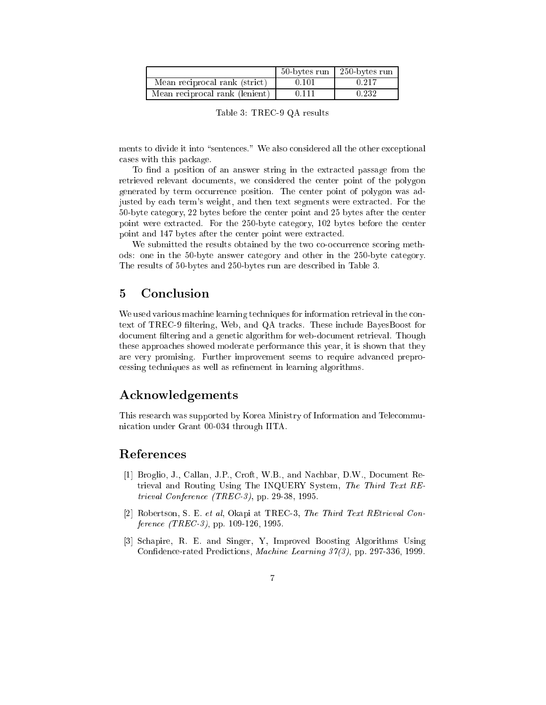|                                | 50-bytes run | $\mid$ 250-bytes run |
|--------------------------------|--------------|----------------------|
| Mean reciprocal rank (strict)  | 0.101        | 0.217                |
| Mean reciprocal rank (lenient) | 0.111        | 0.232                |

Table 3: TREC-9 QA results

ments to divide it into "sentences." We also considered all the other exceptional ases with this pa
kage.

To find a position of an answer string in the extracted passage from the retrieved relevant do
uments, we onsidered the enter point of the polygon generated by term occurrence position. The center point of polygon was adjusted by ea
h term's weight, and then text segments were extra
ted. For the 50-byte ategory, 22 bytes before the enter point and 25 bytes after the enter point were extra
ted. For the 250-byte ategory, 102 bytes before the enter point and 147 bytes after the center point were extracted.

We submitted the results obtained by the two co-occurrence scoring methods: one in the 50-byte answer ategory and other in the 250-byte ategory. The results of 50-bytes and 250-bytes run are described in Table 3.

#### $\overline{5}$ **Conclusion**

We used various machine learning techniques for information retrieval in the context of TREC-9 filtering, Web, and QA tracks. These include BayesBoost for document filtering and a genetic algorithm for web-document retrieval. Though these approaches showed moderate performance this year, it is shown that they are very promising. Further improvement seems to require advan
ed prepro cessing techniques as well as refinement in learning algorithms.

## A
knowledgements

This resear
h was supported by Korea Ministry of Information and Tele
ommuni
ation under Grant 00-034 through IITA.

### Referen
es

- [1] Broglio, J., Callan, J.P., Croft, W.B., and Nachbar, D.W., Document Retrieval and Routing Using The INQUERY System, The Third Text REtrieval Conferen
e (TREC-3), pp. 29-38, 1995.
- [2] Robertson, S. E. et al, Okapi at TREC-3, The Third Text REtrieval Conference (TREC-3), pp. 109-126, 1995.
- [3] Schapire, R. E. and Singer, Y. Improved Boosting Algorithms Using Confidence-rated Predictions, Machine Learning  $37(3)$ , pp. 297-336, 1999.